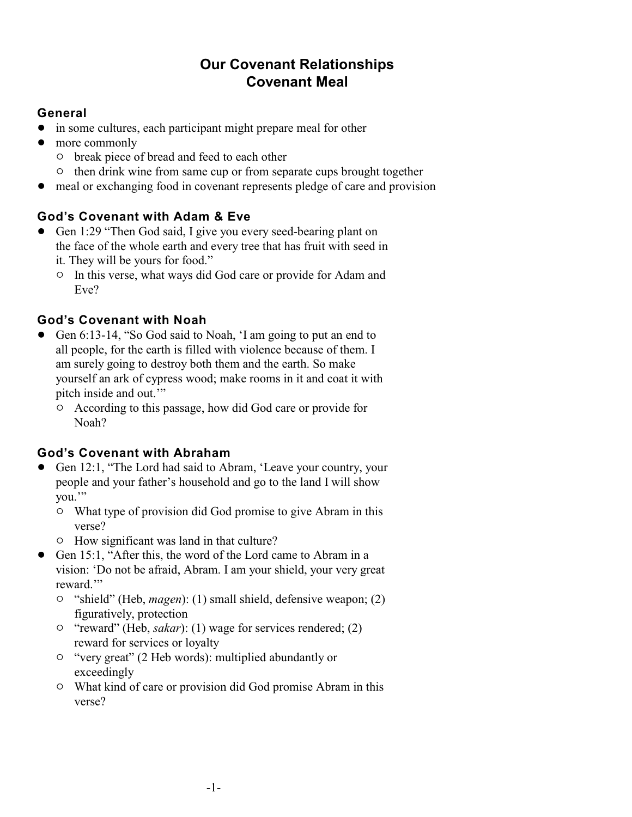# **Our Covenant Relationships Covenant Meal**

## **General**

- in some cultures, each participant might prepare meal for other
- more commonly
	- $\circ$  break piece of bread and feed to each other
	- $\circ$  then drink wine from same cup or from separate cups brought together
- meal or exchanging food in covenant represents pledge of care and provision

# **God's Covenant with Adam & Eve**

- Gen 1:29 "Then God said, I give you every seed-bearing plant on the face of the whole earth and every tree that has fruit with seed in it. They will be yours for food."
	- $\circ$  In this verse, what ways did God care or provide for Adam and Eve?

# **God's Covenant with Noah**

- ! Gen 6:13-14, "So God said to Noah, 'I am going to put an end to all people, for the earth is filled with violence because of them. I am surely going to destroy both them and the earth. So make yourself an ark of cypress wood; make rooms in it and coat it with pitch inside and out.'"
	- $\circ$  According to this passage, how did God care or provide for Noah?

# **God's Covenant with Abraham**

- ! Gen 12:1, "The Lord had said to Abram, 'Leave your country, your people and your father's household and go to the land I will show you.'"
	- <sup>o</sup> What type of provision did God promise to give Abram in this verse?
	- $\circ$  How significant was land in that culture?
- Gen 15:1, "After this, the word of the Lord came to Abram in a vision: 'Do not be afraid, Abram. I am your shield, your very great reward."
	- <sup>o</sup> "shield" (Heb, *magen*): (1) small shield, defensive weapon; (2) figuratively, protection
	- <sup>o</sup> "reward" (Heb, *sakar*): (1) wage for services rendered; (2) reward for services or loyalty
	- " "very great" (2 Heb words): multiplied abundantly or exceedingly
	- $\circ$  What kind of care or provision did God promise Abram in this verse?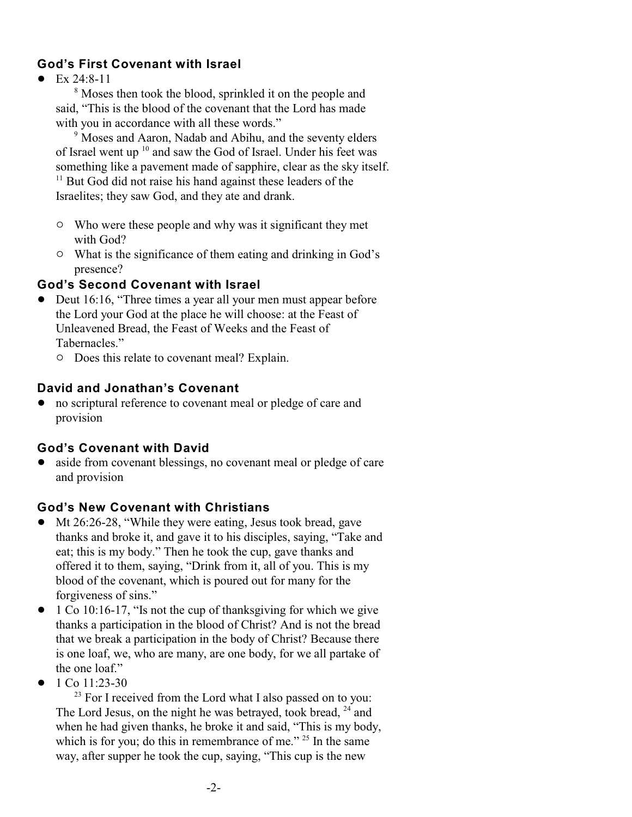### **God's First Covenant with Israel**

 $\bullet$  Ex 24:8-11

<sup>8</sup> Moses then took the blood, sprinkled it on the people and said, "This is the blood of the covenant that the Lord has made with you in accordance with all these words."

<sup>9</sup> Moses and Aaron, Nadab and Abihu, and the seventy elders of Israel went up  $10$  and saw the God of Israel. Under his feet was something like a pavement made of sapphire, clear as the sky itself.

 $11$  But God did not raise his hand against these leaders of the Israelites; they saw God, and they ate and drank.

- $\circ$  Who were these people and why was it significant they met with God?
- $\circ$  What is the significance of them eating and drinking in God's presence?

#### **God's Second Covenant with Israel**

- Deut 16:16, "Three times a year all your men must appear before the Lord your God at the place he will choose: at the Feast of Unleavened Bread, the Feast of Weeks and the Feast of Tabernacles."
	- $\circ$  Does this relate to covenant meal? Explain.

#### **David and Jonathan's Covenant**

! no scriptural reference to covenant meal or pledge of care and provision

#### **God's Covenant with David**

• aside from covenant blessings, no covenant meal or pledge of care and provision

#### **God's New Covenant with Christians**

- Mt 26:26-28, "While they were eating, Jesus took bread, gave thanks and broke it, and gave it to his disciples, saying, "Take and eat; this is my body." Then he took the cup, gave thanks and offered it to them, saying, "Drink from it, all of you. This is my blood of the covenant, which is poured out for many for the forgiveness of sins."
- $\bullet$  1 Co 10:16-17, "Is not the cup of thanksgiving for which we give thanks a participation in the blood of Christ? And is not the bread that we break a participation in the body of Christ? Because there is one loaf, we, who are many, are one body, for we all partake of the one loaf."
- $\bullet$  1 Co 11:23-30

 $23$  For I received from the Lord what I also passed on to you: The Lord Jesus, on the night he was betrayed, took bread,  $^{24}$  and when he had given thanks, he broke it and said, "This is my body, which is for you; do this in remembrance of me."  $25$  In the same way, after supper he took the cup, saying, "This cup is the new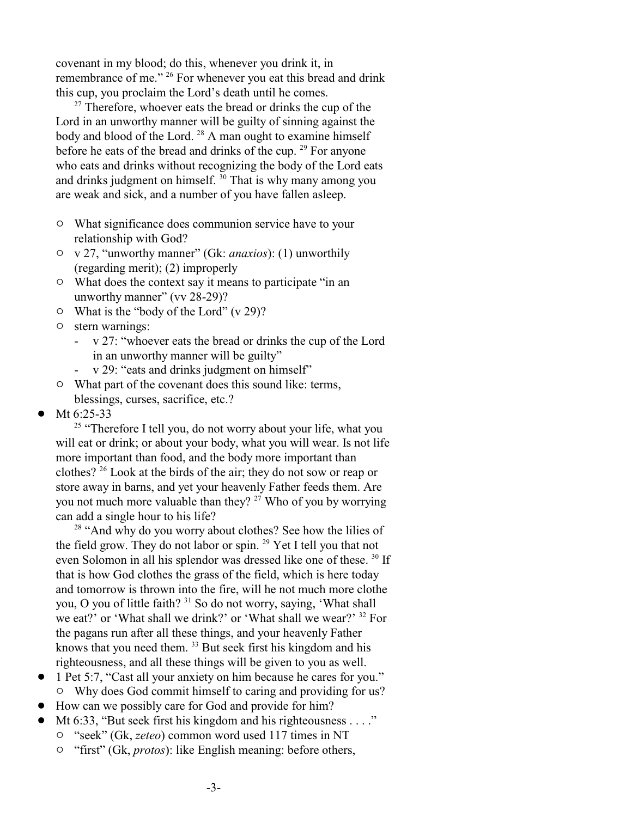covenant in my blood; do this, whenever you drink it, in remembrance of me." <sup>26</sup> For whenever you eat this bread and drink this cup, you proclaim the Lord's death until he comes.

 $27$  Therefore, whoever eats the bread or drinks the cup of the Lord in an unworthy manner will be guilty of sinning against the body and blood of the Lord.  $28$  A man ought to examine himself before he eats of the bread and drinks of the cup.  $^{29}$  For anyone who eats and drinks without recognizing the body of the Lord eats and drinks judgment on himself.  $30$  That is why many among you are weak and sick, and a number of you have fallen asleep.

- $\circ$  What significance does communion service have to your relationship with God?
- " v 27, "unworthy manner" (Gk: *anaxios*): (1) unworthily (regarding merit); (2) improperly
- $\circ$  What does the context say it means to participate "in an unworthy manner" (vv 28-29)?
- $\circ$  What is the "body of the Lord" (v 29)?
- $\circ$  stern warnings:
	- v 27: "whoever eats the bread or drinks the cup of the Lord in an unworthy manner will be guilty"
	- v 29: "eats and drinks judgment on himself"
- $\circ$  What part of the covenant does this sound like: terms, blessings, curses, sacrifice, etc.?
- Mt 6:25-33

<sup>25</sup> "Therefore I tell you, do not worry about your life, what you will eat or drink; or about your body, what you will wear. Is not life more important than food, and the body more important than clothes?  $2^6$  Look at the birds of the air; they do not sow or reap or store away in barns, and yet your heavenly Father feeds them. Are you not much more valuable than they?  $27$  Who of you by worrying can add a single hour to his life?

 $28$  "And why do you worry about clothes? See how the lilies of the field grow. They do not labor or spin.  $^{29}$  Yet I tell you that not even Solomon in all his splendor was dressed like one of these.<sup>30</sup> If that is how God clothes the grass of the field, which is here today and tomorrow is thrown into the fire, will he not much more clothe you, O you of little faith?  $31$  So do not worry, saying, 'What shall we eat?' or 'What shall we drink?' or 'What shall we wear?' <sup>32</sup> For the pagans run after all these things, and your heavenly Father knows that you need them.  $33$  But seek first his kingdom and his righteousness, and all these things will be given to you as well.

- ! 1 Pet 5:7, "Cast all your anxiety on him because he cares for you." <sup>o</sup> Why does God commit himself to caring and providing for us?
- ! How can we possibly care for God and provide for him?
- Mt 6:33, "But seek first his kingdom and his righteousness . . . ."
	- " "seek" (Gk, *zeteo*) common word used 117 times in NT
	- <sup>o</sup> "first" (Gk, *protos*): like English meaning: before others,